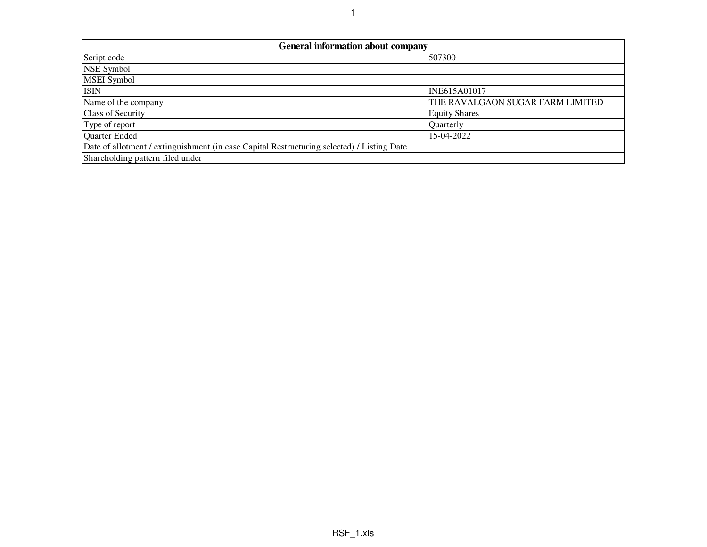| <b>General information about company</b>                                                   |                                  |  |  |  |  |  |  |  |  |  |
|--------------------------------------------------------------------------------------------|----------------------------------|--|--|--|--|--|--|--|--|--|
| Script code                                                                                | 507300                           |  |  |  |  |  |  |  |  |  |
| NSE Symbol                                                                                 |                                  |  |  |  |  |  |  |  |  |  |
| <b>MSEI</b> Symbol                                                                         |                                  |  |  |  |  |  |  |  |  |  |
| <b>ISIN</b>                                                                                | <b>INE615A01017</b>              |  |  |  |  |  |  |  |  |  |
| Name of the company                                                                        | THE RAVALGAON SUGAR FARM LIMITED |  |  |  |  |  |  |  |  |  |
| Class of Security                                                                          | <b>Equity Shares</b>             |  |  |  |  |  |  |  |  |  |
| Type of report                                                                             | Quarterly                        |  |  |  |  |  |  |  |  |  |
| Quarter Ended                                                                              | 15-04-2022                       |  |  |  |  |  |  |  |  |  |
| Date of allotment / extinguishment (in case Capital Restructuring selected) / Listing Date |                                  |  |  |  |  |  |  |  |  |  |
| Shareholding pattern filed under                                                           |                                  |  |  |  |  |  |  |  |  |  |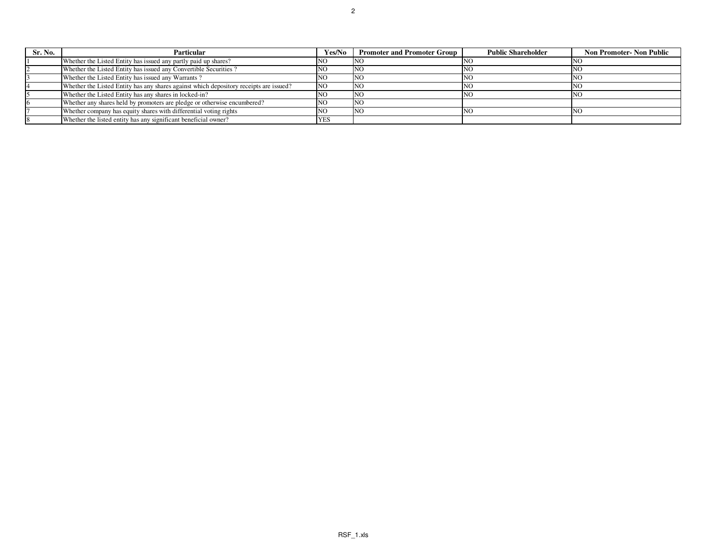| Sr. No. | Particular                                                                             | Yes/No     | <b>Promoter and Promoter Group</b> | <b>Public Shareholder</b> | <b>Non Promoter- Non Public</b> |
|---------|----------------------------------------------------------------------------------------|------------|------------------------------------|---------------------------|---------------------------------|
|         | Whether the Listed Entity has issued any partly paid up shares?                        |            | NG.                                | -INC                      |                                 |
|         | Whether the Listed Entity has issued any Convertible Securities?                       |            | NC                                 | NC                        |                                 |
|         | Whether the Listed Entity has issued any Warrants?                                     | ™U.        | <b>NO</b>                          | <b>NC</b>                 |                                 |
|         | Whether the Listed Entity has any shares against which depository receipts are issued? | <b>NO</b>  | <b>INO</b>                         | N                         |                                 |
|         | Whether the Listed Entity has any shares in locked-in?                                 |            | <b>INO</b>                         | N <sub>C</sub>            |                                 |
|         | Whether any shares held by promoters are pledge or otherwise encumbered?               | NU.        | NO <sub>1</sub>                    |                           |                                 |
|         | Whether company has equity shares with differential voting rights                      | INU.       | 'NG                                | INC.                      |                                 |
|         | Whether the listed entity has any significant beneficial owner?                        | <b>YES</b> |                                    |                           |                                 |
|         |                                                                                        |            |                                    |                           |                                 |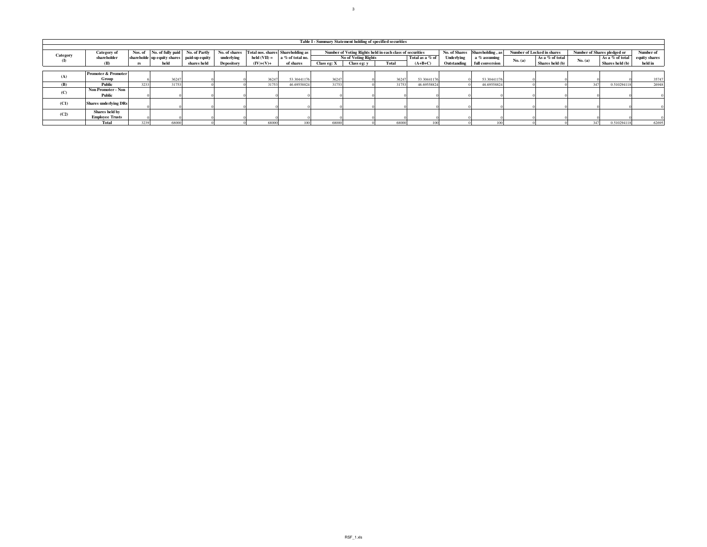|              | Table I - Summary Statement holding of specified securities |         |                                                          |             |            |                                   |                               |             |                                                          |       |                 |                   |                                 |         |                            |                             |                 |               |
|--------------|-------------------------------------------------------------|---------|----------------------------------------------------------|-------------|------------|-----------------------------------|-------------------------------|-------------|----------------------------------------------------------|-------|-----------------|-------------------|---------------------------------|---------|----------------------------|-----------------------------|-----------------|---------------|
|              |                                                             |         |                                                          |             |            |                                   |                               |             |                                                          |       |                 |                   |                                 |         |                            |                             |                 |               |
| Category     | <b>Category</b> of                                          |         | Nos. of No. of fully paid No. of Partly<br>No. of shares |             |            | Total nos. shares Shareholding as |                               |             | Number of Voting Rights held in each class of securities |       |                 | <b>Underlying</b> | No. of Shares Shareholding . as |         | Number of Locked in shares | Number of Shares pledged or |                 | Number of     |
| $\mathbf{I}$ | shareholder                                                 |         | shareholde up equity shares paid-up equity               |             | underlying | $\text{held}(\text{VII}) =$       | a % of total no.<br>of shares |             | No of Voting Rights                                      |       | Total as a % of |                   | a % assuming                    | No. (a) | As a % of total            | No. (a)                     | As a % of total | equity shares |
|              | $\mathbf{m}$                                                | $r_{S}$ | held                                                     | shares held | Depository | $(IV)+(V)+$                       |                               | Class eg: X | Class eg: y                                              | Total | $(A+B+C)$       | Outstanding       | full conversion                 |         | Shares held (b)            |                             | Shares held (b) | held in       |
|              |                                                             |         |                                                          |             |            |                                   |                               |             |                                                          |       |                 |                   |                                 |         |                            |                             |                 |               |
| (A)          | <b>Promoter &amp; Promoter</b>                              |         |                                                          |             |            |                                   |                               |             |                                                          |       |                 |                   |                                 |         |                            |                             |                 |               |
|              | Group                                                       |         | 36247                                                    |             |            | 36247                             | 53.30441176                   | 36247       |                                                          | 36247 | 53.30441176     |                   | 53.30441176                     |         |                            |                             |                 | 35747         |
| (B)          | Public                                                      | 3233    | 31753                                                    |             |            | 31753                             | 46.69558824                   | 31753       |                                                          | 31753 | 46.69558824     |                   | 46.69558824                     |         |                            |                             | 0.510294118     | 26948         |
| (C)          | Non Promoter - Non                                          |         |                                                          |             |            |                                   |                               |             |                                                          |       |                 |                   |                                 |         |                            |                             |                 |               |
|              | Public                                                      |         |                                                          |             |            |                                   |                               |             |                                                          |       |                 |                   |                                 |         |                            |                             |                 |               |
| (C1)         | <b>Shares underlying DRs</b>                                |         |                                                          |             |            |                                   |                               |             |                                                          |       |                 |                   |                                 |         |                            |                             |                 |               |
|              |                                                             |         |                                                          |             |            |                                   |                               |             |                                                          |       |                 |                   |                                 |         |                            |                             |                 |               |
| (C2)         | Shares held by                                              |         |                                                          |             |            |                                   |                               |             |                                                          |       |                 |                   |                                 |         |                            |                             |                 |               |
|              | <b>Employee Trusts</b>                                      |         |                                                          |             |            |                                   |                               |             |                                                          |       |                 |                   |                                 |         |                            |                             |                 |               |
|              | Total                                                       | 3239    | 68000                                                    |             |            | 68000                             |                               | 68000       |                                                          | 68000 |                 |                   |                                 |         |                            |                             | 0.510294118     | 62695         |

3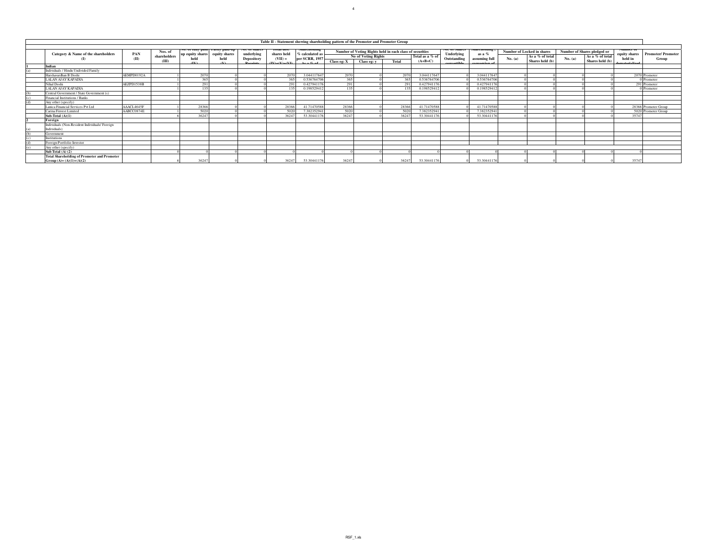| Table II - Statement showing shareholding pattern of the Promoter and Promoter Group |            |                       |                                        |          |                                 |                          |                                     |             |                     |                                                          |                              |                           |                         |                            |                                    |                             |                                    |                          |                          |
|--------------------------------------------------------------------------------------|------------|-----------------------|----------------------------------------|----------|---------------------------------|--------------------------|-------------------------------------|-------------|---------------------|----------------------------------------------------------|------------------------------|---------------------------|-------------------------|----------------------------|------------------------------------|-----------------------------|------------------------------------|--------------------------|--------------------------|
|                                                                                      | PAN        | Nos. of               | No. of funy paid Partly paid-up        |          | No. of snares                   | rotal nos.               | эпагеноющи                          |             |                     | Number of Voting Rights held in each class of securities |                              | <b>NO. 01 Shares</b>      | Snarenoiding            | Number of Locked in shares |                                    | Number of Shares pledged or |                                    | Number of                | <b>Promoter/Promoter</b> |
| Category & Name of the shareholders                                                  | (II)       | shareholders<br>(III) | up equity shares equity shares<br>held | held     | underlying<br><b>Depository</b> | shares held<br>$(VII) =$ | % calculated as<br>per SCRR, 1957   | Class eg: X | No of Voting Rights | Total                                                    | Total as a % of<br>$(A+B+C)$ | Underlying<br>Outstanding | as a %<br>assuming full | No. (a)                    | As a % of total<br>Shares held (b) | No. (a)                     | As a % of total<br>Shares held (b) | equity shares<br>held in | Group                    |
| Indian                                                                               |            |                       |                                        | $\alpha$ | <b>Deceipte</b>                 | $d$ Vha(Vha(VI)          | $A \circ \alpha$ $C$ , $\alpha$ $F$ |             | Class eg: y         |                                                          |                              | onvertible                | nversion of             |                            |                                    |                             |                                    | hoviloratomoh            |                          |
| Individuals / Hindu Undivided Family                                                 |            |                       |                                        |          |                                 |                          |                                     |             |                     |                                                          |                              |                           |                         |                            |                                    |                             |                                    |                          |                          |
| Harshavardhan B Doshi                                                                | AEMPD0192A |                       | 207                                    |          |                                 | 2070                     | 3.044117647                         | 2070        |                     | 2070                                                     | 3.044117647                  |                           | 3.044117647             |                            |                                    |                             |                                    |                          | 2070 Promoter            |
| LALAN AJAY KAPADIA                                                                   |            |                       | 365                                    |          |                                 | 365                      | 0.536764706                         | 365         |                     | 365                                                      | 0.536764706                  |                           | 0.536764706             |                            |                                    |                             |                                    |                          | Promoter                 |
| Nihal Doshi                                                                          | AEZPD1538B |                       | 291                                    |          |                                 | 291                      | 0.427941176                         | 291         |                     | 291                                                      | 0.427941176                  |                           | 0.427941176             |                            |                                    |                             |                                    |                          | 291 Promoter             |
| <b>LALAN AJAY KAPADIA</b>                                                            |            |                       | 135                                    |          |                                 |                          | 0.198529412                         | 135         |                     | 135                                                      | 019852941                    |                           | 0.198529412             |                            |                                    |                             |                                    |                          | 0 Promoter               |
| Central Government / State Government (s)                                            |            |                       |                                        |          |                                 |                          |                                     |             |                     |                                                          |                              |                           |                         |                            |                                    |                             |                                    |                          |                          |
| Financial Institutions / Banks                                                       |            |                       |                                        |          |                                 |                          |                                     |             |                     |                                                          |                              |                           |                         |                            |                                    |                             |                                    |                          |                          |
|                                                                                      |            |                       |                                        |          |                                 |                          |                                     |             |                     |                                                          |                              |                           |                         |                            |                                    |                             |                                    |                          |                          |
| Any other (specify)                                                                  |            |                       |                                        |          |                                 |                          |                                     |             |                     |                                                          |                              |                           |                         |                            |                                    |                             |                                    |                          |                          |
| anica Financial Services Pvt Ltd.                                                    | AAACL4645F |                       | 28366                                  |          |                                 | 28366                    | 41.71470588                         | 28366       |                     | 28366                                                    | 41.71470588                  |                           | 41.71470588             |                            |                                    |                             |                                    |                          | 28366 Promoter Group     |
| Carina Finvest Limited                                                               | AABCC0874E |                       | 5020                                   |          |                                 | 5020                     | 7.382352941                         | 5020        |                     | 5020                                                     | 7.382352941                  |                           | 7.382352941             |                            |                                    |                             |                                    |                          | 5020 Promoter Group      |
| Sub-Total $(A)(1)$                                                                   |            |                       | 3624                                   |          |                                 | 36247                    | 53.30441176                         | 36247       |                     | 36247                                                    | 53.3044117                   |                           | 53.30441176             |                            |                                    |                             |                                    | 35747                    |                          |
| Foreign                                                                              |            |                       |                                        |          |                                 |                          |                                     |             |                     |                                                          |                              |                           |                         |                            |                                    |                             |                                    |                          |                          |
| Individuals (Non-Resident Individuals/Foreign                                        |            |                       |                                        |          |                                 |                          |                                     |             |                     |                                                          |                              |                           |                         |                            |                                    |                             |                                    |                          |                          |
| Individuals)                                                                         |            |                       |                                        |          |                                 |                          |                                     |             |                     |                                                          |                              |                           |                         |                            |                                    |                             |                                    |                          |                          |
| Government                                                                           |            |                       |                                        |          |                                 |                          |                                     |             |                     |                                                          |                              |                           |                         |                            |                                    |                             |                                    |                          |                          |
| Institutions                                                                         |            |                       |                                        |          |                                 |                          |                                     |             |                     |                                                          |                              |                           |                         |                            |                                    |                             |                                    |                          |                          |
| Foreign Portfolio Investor                                                           |            |                       |                                        |          |                                 |                          |                                     |             |                     |                                                          |                              |                           |                         |                            |                                    |                             |                                    |                          |                          |
| Any other (specify)                                                                  |            |                       |                                        |          |                                 |                          |                                     |             |                     |                                                          |                              |                           |                         |                            |                                    |                             |                                    |                          |                          |
| Sub Total $(A)$ $(2)$                                                                |            |                       |                                        |          |                                 |                          |                                     |             |                     |                                                          |                              |                           |                         |                            |                                    |                             |                                    |                          |                          |
| <b>Total Shareholding of Promoter and Promoter</b>                                   |            |                       |                                        |          |                                 |                          |                                     |             |                     |                                                          |                              |                           |                         |                            |                                    |                             |                                    |                          |                          |
| Group $(A)=(A)(1)+(A)(2)$                                                            |            |                       | 3624                                   |          |                                 | 36247                    | 53.30441176                         | 36247       |                     | 36247                                                    | 53,30441176                  |                           | 53.30441176             |                            |                                    |                             |                                    | 35747                    |                          |